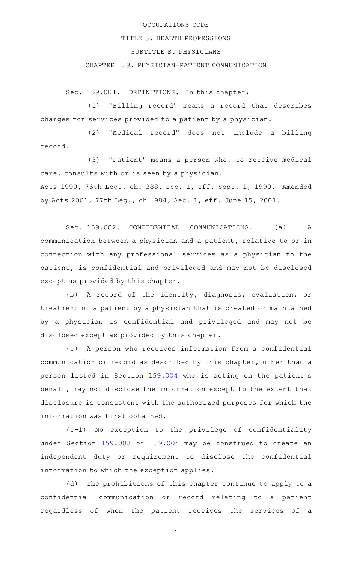## OCCUPATIONS CODE

## TITLE 3. HEALTH PROFESSIONS

## SUBTITLE B. PHYSICIANS

## CHAPTER 159. PHYSICIAN-PATIENT COMMUNICATION

Sec. 159.001. DEFINITIONS. In this chapter:

(1) "Billing record" means a record that describes charges for services provided to a patient by a physician.

(2) "Medical record" does not include a billing record.

 $(3)$  "Patient" means a person who, to receive medical care, consults with or is seen by a physician.

Acts 1999, 76th Leg., ch. 388, Sec. 1, eff. Sept. 1, 1999. Amended by Acts 2001, 77th Leg., ch. 984, Sec. 1, eff. June 15, 2001.

Sec. 159.002. CONFIDENTIAL COMMUNICATIONS. (a) A communication between a physician and a patient, relative to or in connection with any professional services as a physician to the patient, is confidential and privileged and may not be disclosed except as provided by this chapter.

(b) A record of the identity, diagnosis, evaluation, or treatment of a patient by a physician that is created or maintained by a physician is confidential and privileged and may not be disclosed except as provided by this chapter.

(c) A person who receives information from a confidential communication or record as described by this chapter, other than a person listed in Section [159.004](http://www.statutes.legis.state.tx.us/GetStatute.aspx?Code=OC&Value=159.004) who is acting on the patient 's behalf, may not disclose the information except to the extent that disclosure is consistent with the authorized purposes for which the information was first obtained.

 $(c-1)$  No exception to the privilege of confidentiality under Section [159.003](http://www.statutes.legis.state.tx.us/GetStatute.aspx?Code=OC&Value=159.003) or [159.004](http://www.statutes.legis.state.tx.us/GetStatute.aspx?Code=OC&Value=159.004) may be construed to create an independent duty or requirement to disclose the confidential information to which the exception applies.

(d) The prohibitions of this chapter continue to apply to a confidential communication or record relating to a patient regardless of when the patient receives the services of a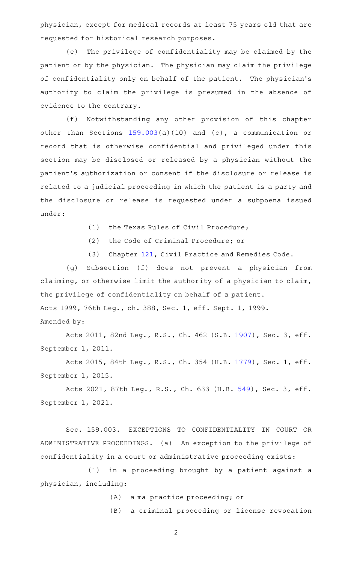physician, except for medical records at least 75 years old that are requested for historical research purposes.

(e) The privilege of confidentiality may be claimed by the patient or by the physician. The physician may claim the privilege of confidentiality only on behalf of the patient. The physician 's authority to claim the privilege is presumed in the absence of evidence to the contrary.

(f) Notwithstanding any other provision of this chapter other than Sections [159.003\(](http://www.statutes.legis.state.tx.us/GetStatute.aspx?Code=OC&Value=159.003)a)(10) and (c), a communication or record that is otherwise confidential and privileged under this section may be disclosed or released by a physician without the patient 's authorization or consent if the disclosure or release is related to a judicial proceeding in which the patient is a party and the disclosure or release is requested under a subpoena issued under:

- (1) the Texas Rules of Civil Procedure;
- (2) the Code of Criminal Procedure; or
- (3) Chapter [121,](http://www.statutes.legis.state.tx.us/GetStatute.aspx?Code=CP&Value=121) Civil Practice and Remedies Code.

(g) Subsection (f) does not prevent a physician from claiming, or otherwise limit the authority of a physician to claim, the privilege of confidentiality on behalf of a patient. Acts 1999, 76th Leg., ch. 388, Sec. 1, eff. Sept. 1, 1999. Amended by:

Acts 2011, 82nd Leg., R.S., Ch. 462 (S.B. [1907](http://www.legis.state.tx.us/tlodocs/82R/billtext/html/SB01907F.HTM)), Sec. 3, eff. September 1, 2011.

Acts 2015, 84th Leg., R.S., Ch. 354 (H.B. [1779](http://www.legis.state.tx.us/tlodocs/84R/billtext/html/HB01779F.HTM)), Sec. 1, eff. September 1, 2015.

Acts 2021, 87th Leg., R.S., Ch. 633 (H.B. [549](http://www.legis.state.tx.us/tlodocs/87R/billtext/html/HB00549F.HTM)), Sec. 3, eff. September 1, 2021.

Sec. 159.003. EXCEPTIONS TO CONFIDENTIALITY IN COURT OR ADMINISTRATIVE PROCEEDINGS. (a) An exception to the privilege of confidentiality in a court or administrative proceeding exists:

(1) in a proceeding brought by a patient against a physician, including:

- (A) a malpractice proceeding; or
- (B) a criminal proceeding or license revocation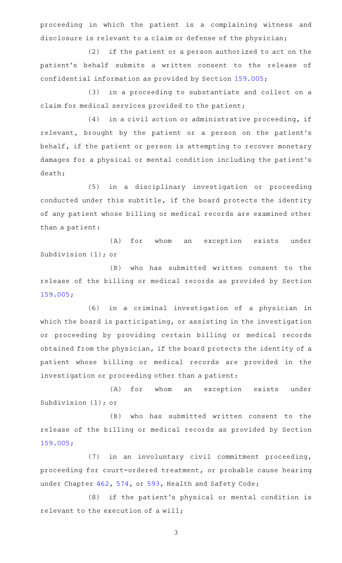proceeding in which the patient is a complaining witness and disclosure is relevant to a claim or defense of the physician;

(2) if the patient or a person authorized to act on the patient 's behalf submits a written consent to the release of confidential information as provided by Section [159.005](http://www.statutes.legis.state.tx.us/GetStatute.aspx?Code=OC&Value=159.005);

(3) in a proceeding to substantiate and collect on a claim for medical services provided to the patient;

 $(4)$  in a civil action or administrative proceeding, if relevant, brought by the patient or a person on the patient 's behalf, if the patient or person is attempting to recover monetary damages for a physical or mental condition including the patient 's death;

(5) in a disciplinary investigation or proceeding conducted under this subtitle, if the board protects the identity of any patient whose billing or medical records are examined other than a patient:

(A) for whom an exception exists under Subdivision (1); or

(B) who has submitted written consent to the release of the billing or medical records as provided by Section [159.005;](http://www.statutes.legis.state.tx.us/GetStatute.aspx?Code=OC&Value=159.005)

(6) in a criminal investigation of a physician in which the board is participating, or assisting in the investigation or proceeding by providing certain billing or medical records obtained from the physician, if the board protects the identity of a patient whose billing or medical records are provided in the investigation or proceeding other than a patient:

(A) for whom an exception exists under Subdivision (1); or

(B) who has submitted written consent to the release of the billing or medical records as provided by Section [159.005;](http://www.statutes.legis.state.tx.us/GetStatute.aspx?Code=OC&Value=159.005)

(7) in an involuntary civil commitment proceeding, proceeding for court-ordered treatment, or probable cause hearing under Chapter [462](http://www.statutes.legis.state.tx.us/GetStatute.aspx?Code=HS&Value=462), [574,](http://www.statutes.legis.state.tx.us/GetStatute.aspx?Code=HS&Value=574) or [593,](http://www.statutes.legis.state.tx.us/GetStatute.aspx?Code=HS&Value=593) Health and Safety Code;

(8) if the patient's physical or mental condition is relevant to the execution of a will;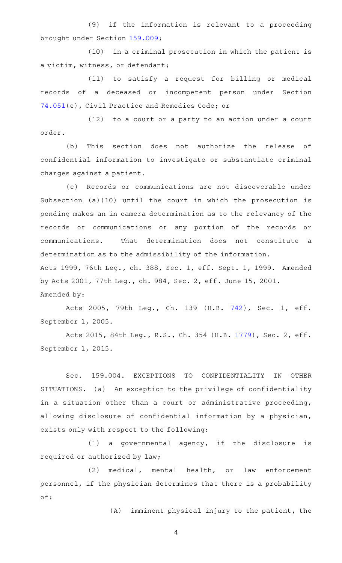(9) if the information is relevant to a proceeding brought under Section [159.009](http://www.statutes.legis.state.tx.us/GetStatute.aspx?Code=OC&Value=159.009);

(10) in a criminal prosecution in which the patient is a victim, witness, or defendant;

(11) to satisfy a request for billing or medical records of a deceased or incompetent person under Section [74.051](http://www.statutes.legis.state.tx.us/GetStatute.aspx?Code=CP&Value=74.051)(e), Civil Practice and Remedies Code; or

 $(12)$  to a court or a party to an action under a court order.

(b) This section does not authorize the release of confidential information to investigate or substantiate criminal charges against a patient.

(c) Records or communications are not discoverable under Subsection (a)(10) until the court in which the prosecution is pending makes an in camera determination as to the relevancy of the records or communications or any portion of the records or communications. That determination does not constitute a determination as to the admissibility of the information. Acts 1999, 76th Leg., ch. 388, Sec. 1, eff. Sept. 1, 1999. Amended by Acts 2001, 77th Leg., ch. 984, Sec. 2, eff. June 15, 2001.

Amended by:

Acts 2005, 79th Leg., Ch. 139 (H.B. [742\)](http://www.legis.state.tx.us/tlodocs/79R/billtext/html/HB00742F.HTM), Sec. 1, eff. September 1, 2005.

Acts 2015, 84th Leg., R.S., Ch. 354 (H.B. [1779](http://www.legis.state.tx.us/tlodocs/84R/billtext/html/HB01779F.HTM)), Sec. 2, eff. September 1, 2015.

Sec. 159.004. EXCEPTIONS TO CONFIDENTIALITY IN OTHER SITUATIONS. (a) An exception to the privilege of confidentiality in a situation other than a court or administrative proceeding, allowing disclosure of confidential information by a physician, exists only with respect to the following:

 $(1)$  a governmental agency, if the disclosure is required or authorized by law;

(2) medical, mental health, or law enforcement personnel, if the physician determines that there is a probability of:

 $(A)$  imminent physical injury to the patient, the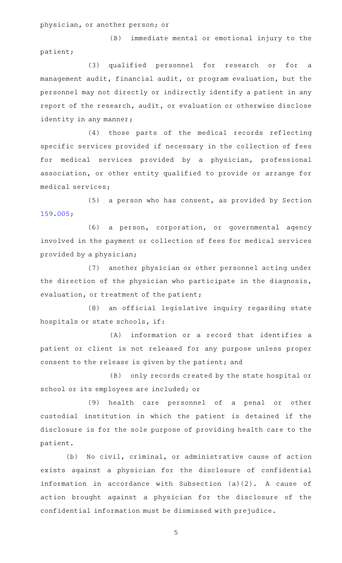physician, or another person; or

(B) immediate mental or emotional injury to the patient;

(3) qualified personnel for research or for a management audit, financial audit, or program evaluation, but the personnel may not directly or indirectly identify a patient in any report of the research, audit, or evaluation or otherwise disclose identity in any manner;

(4) those parts of the medical records reflecting specific services provided if necessary in the collection of fees for medical services provided by a physician, professional association, or other entity qualified to provide or arrange for medical services;

 $(5)$  a person who has consent, as provided by Section [159.005;](http://www.statutes.legis.state.tx.us/GetStatute.aspx?Code=OC&Value=159.005)

(6) a person, corporation, or governmental agency involved in the payment or collection of fees for medical services provided by a physician;

(7) another physician or other personnel acting under the direction of the physician who participate in the diagnosis, evaluation, or treatment of the patient;

(8) an official legislative inquiry regarding state hospitals or state schools, if:

 $(A)$  information or a record that identifies a patient or client is not released for any purpose unless proper consent to the release is given by the patient; and

(B) only records created by the state hospital or school or its employees are included; or

(9) health care personnel of a penal or other custodial institution in which the patient is detained if the disclosure is for the sole purpose of providing health care to the patient.

(b) No civil, criminal, or administrative cause of action exists against a physician for the disclosure of confidential information in accordance with Subsection  $(a)(2)$ . A cause of action brought against a physician for the disclosure of the confidential information must be dismissed with prejudice.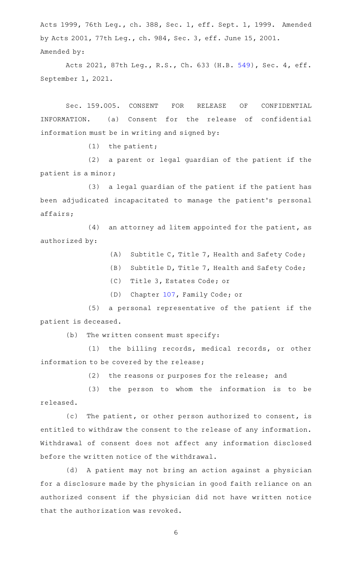Acts 1999, 76th Leg., ch. 388, Sec. 1, eff. Sept. 1, 1999. Amended by Acts 2001, 77th Leg., ch. 984, Sec. 3, eff. June 15, 2001. Amended by:

Acts 2021, 87th Leg., R.S., Ch. 633 (H.B. [549](http://www.legis.state.tx.us/tlodocs/87R/billtext/html/HB00549F.HTM)), Sec. 4, eff. September 1, 2021.

Sec. 159.005. CONSENT FOR RELEASE OF CONFIDENTIAL INFORMATION. (a) Consent for the release of confidential information must be in writing and signed by:

 $(1)$  the patient;

(2) a parent or legal guardian of the patient if the patient is a minor;

(3) a legal guardian of the patient if the patient has been adjudicated incapacitated to manage the patient 's personal affairs;

 $(4)$  an attorney ad litem appointed for the patient, as authorized by:

(A) Subtitle C, Title 7, Health and Safety Code;

(B) Subtitle D, Title 7, Health and Safety Code;

(C) Title 3, Estates Code; or

(D) Chapter [107,](http://www.statutes.legis.state.tx.us/GetStatute.aspx?Code=FA&Value=107) Family Code; or

(5) a personal representative of the patient if the patient is deceased.

 $(b)$  The written consent must specify:

(1) the billing records, medical records, or other information to be covered by the release;

(2) the reasons or purposes for the release; and

(3) the person to whom the information is to be released.

(c) The patient, or other person authorized to consent, is entitled to withdraw the consent to the release of any information. Withdrawal of consent does not affect any information disclosed before the written notice of the withdrawal.

(d) A patient may not bring an action against a physician for a disclosure made by the physician in good faith reliance on an authorized consent if the physician did not have written notice that the authorization was revoked.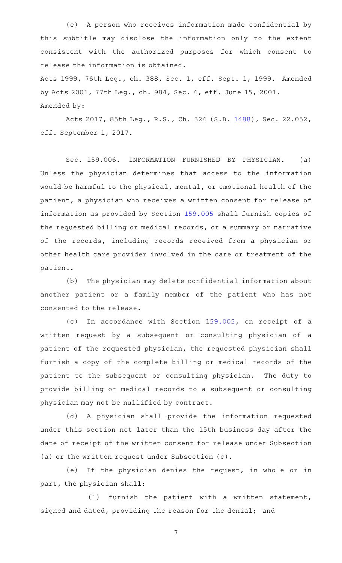(e) A person who receives information made confidential by this subtitle may disclose the information only to the extent consistent with the authorized purposes for which consent to release the information is obtained.

Acts 1999, 76th Leg., ch. 388, Sec. 1, eff. Sept. 1, 1999. Amended by Acts 2001, 77th Leg., ch. 984, Sec. 4, eff. June 15, 2001. Amended by:

Acts 2017, 85th Leg., R.S., Ch. 324 (S.B. [1488\)](http://www.legis.state.tx.us/tlodocs/85R/billtext/html/SB01488F.HTM), Sec. 22.052, eff. September 1, 2017.

Sec. 159.006. INFORMATION FURNISHED BY PHYSICIAN. (a) Unless the physician determines that access to the information would be harmful to the physical, mental, or emotional health of the patient, a physician who receives a written consent for release of information as provided by Section [159.005](http://www.statutes.legis.state.tx.us/GetStatute.aspx?Code=OC&Value=159.005) shall furnish copies of the requested billing or medical records, or a summary or narrative of the records, including records received from a physician or other health care provider involved in the care or treatment of the patient.

(b) The physician may delete confidential information about another patient or a family member of the patient who has not consented to the release.

(c) In accordance with Section [159.005,](http://www.statutes.legis.state.tx.us/GetStatute.aspx?Code=OC&Value=159.005) on receipt of a written request by a subsequent or consulting physician of a patient of the requested physician, the requested physician shall furnish a copy of the complete billing or medical records of the patient to the subsequent or consulting physician. The duty to provide billing or medical records to a subsequent or consulting physician may not be nullified by contract.

(d) A physician shall provide the information requested under this section not later than the 15th business day after the date of receipt of the written consent for release under Subsection (a) or the written request under Subsection (c).

(e) If the physician denies the request, in whole or in part, the physician shall:

 $(1)$  furnish the patient with a written statement, signed and dated, providing the reason for the denial; and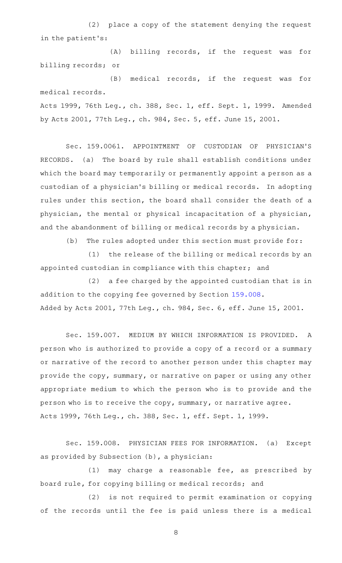(2) place a copy of the statement denying the request in the patient 's:

(A) billing records, if the request was for billing records; or

(B) medical records, if the request was for medical records. Acts 1999, 76th Leg., ch. 388, Sec. 1, eff. Sept. 1, 1999. Amended

by Acts 2001, 77th Leg., ch. 984, Sec. 5, eff. June 15, 2001.

Sec. 159.0061. APPOINTMENT OF CUSTODIAN OF PHYSICIAN'S RECORDS. (a) The board by rule shall establish conditions under which the board may temporarily or permanently appoint a person as a custodian of a physician 's billing or medical records. In adopting rules under this section, the board shall consider the death of a physician, the mental or physical incapacitation of a physician, and the abandonment of billing or medical records by a physician.

(b) The rules adopted under this section must provide for:

(1) the release of the billing or medical records by an appointed custodian in compliance with this chapter; and

(2) a fee charged by the appointed custodian that is in addition to the copying fee governed by Section [159.008](http://www.statutes.legis.state.tx.us/GetStatute.aspx?Code=OC&Value=159.008). Added by Acts 2001, 77th Leg., ch. 984, Sec. 6, eff. June 15, 2001.

Sec. 159.007. MEDIUM BY WHICH INFORMATION IS PROVIDED. A person who is authorized to provide a copy of a record or a summary or narrative of the record to another person under this chapter may provide the copy, summary, or narrative on paper or using any other appropriate medium to which the person who is to provide and the person who is to receive the copy, summary, or narrative agree. Acts 1999, 76th Leg., ch. 388, Sec. 1, eff. Sept. 1, 1999.

Sec. 159.008. PHYSICIAN FEES FOR INFORMATION. (a) Except as provided by Subsection (b), a physician:

(1) may charge a reasonable fee, as prescribed by board rule, for copying billing or medical records; and

(2) is not required to permit examination or copying of the records until the fee is paid unless there is a medical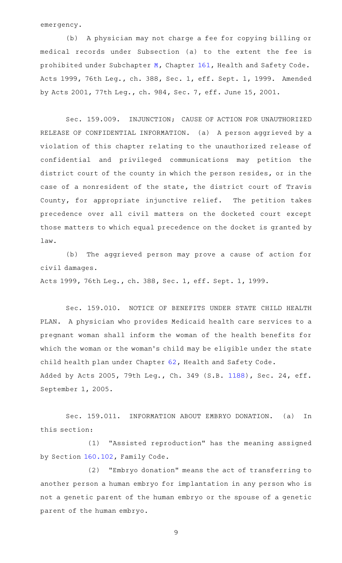emergency.

(b) A physician may not charge a fee for copying billing or medical records under Subsection (a) to the extent the fee is prohibited under Subchapter [M](http://www.statutes.legis.state.tx.us/GetStatute.aspx?Code=HS&Value=161.201), Chapter [161](http://www.statutes.legis.state.tx.us/GetStatute.aspx?Code=HS&Value=161), Health and Safety Code. Acts 1999, 76th Leg., ch. 388, Sec. 1, eff. Sept. 1, 1999. Amended by Acts 2001, 77th Leg., ch. 984, Sec. 7, eff. June 15, 2001.

Sec. 159.009. INJUNCTION; CAUSE OF ACTION FOR UNAUTHORIZED RELEASE OF CONFIDENTIAL INFORMATION. (a) A person aggrieved by a violation of this chapter relating to the unauthorized release of confidential and privileged communications may petition the district court of the county in which the person resides, or in the case of a nonresident of the state, the district court of Travis County, for appropriate injunctive relief. The petition takes precedence over all civil matters on the docketed court except those matters to which equal precedence on the docket is granted by law.

(b) The aggrieved person may prove a cause of action for civil damages.

Acts 1999, 76th Leg., ch. 388, Sec. 1, eff. Sept. 1, 1999.

Sec. 159.010. NOTICE OF BENEFITS UNDER STATE CHILD HEALTH PLAN. A physician who provides Medicaid health care services to a pregnant woman shall inform the woman of the health benefits for which the woman or the woman 's child may be eligible under the state child health plan under Chapter [62](http://www.statutes.legis.state.tx.us/GetStatute.aspx?Code=HS&Value=62), Health and Safety Code. Added by Acts 2005, 79th Leg., Ch. 349 (S.B. [1188](http://www.legis.state.tx.us/tlodocs/79R/billtext/html/SB01188F.HTM)), Sec. 24, eff. September 1, 2005.

Sec. 159.011. INFORMATION ABOUT EMBRYO DONATION. (a) In this section:

(1) "Assisted reproduction" has the meaning assigned by Section [160.102,](http://www.statutes.legis.state.tx.us/GetStatute.aspx?Code=FA&Value=160.102) Family Code.

(2) "Embryo donation" means the act of transferring to another person a human embryo for implantation in any person who is not a genetic parent of the human embryo or the spouse of a genetic parent of the human embryo.